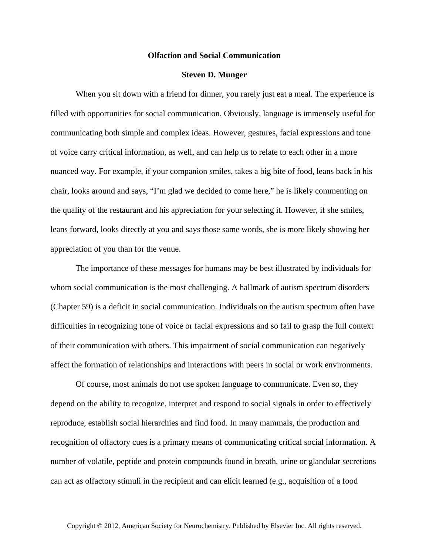## **Olfaction and Social Communication**

## **Steven D. Munger**

When you sit down with a friend for dinner, you rarely just eat a meal. The experience is filled with opportunities for social communication. Obviously, language is immensely useful for communicating both simple and complex ideas. However, gestures, facial expressions and tone of voice carry critical information, as well, and can help us to relate to each other in a more nuanced way. For example, if your companion smiles, takes a big bite of food, leans back in his chair, looks around and says, "I'm glad we decided to come here," he is likely commenting on the quality of the restaurant and his appreciation for your selecting it. However, if she smiles, leans forward, looks directly at you and says those same words, she is more likely showing her appreciation of you than for the venue.

The importance of these messages for humans may be best illustrated by individuals for whom social communication is the most challenging. A hallmark of autism spectrum disorders (Chapter 59) is a deficit in social communication. Individuals on the autism spectrum often have difficulties in recognizing tone of voice or facial expressions and so fail to grasp the full context of their communication with others. This impairment of social communication can negatively affect the formation of relationships and interactions with peers in social or work environments.

Of course, most animals do not use spoken language to communicate. Even so, they depend on the ability to recognize, interpret and respond to social signals in order to effectively reproduce, establish social hierarchies and find food. In many mammals, the production and recognition of olfactory cues is a primary means of communicating critical social information. A number of volatile, peptide and protein compounds found in breath, urine or glandular secretions can act as olfactory stimuli in the recipient and can elicit learned (e.g., acquisition of a food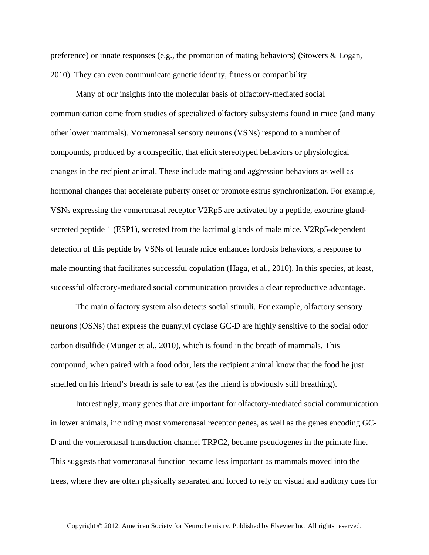preference) or innate responses (e.g., the promotion of mating behaviors) (Stowers & Logan, 2010). They can even communicate genetic identity, fitness or compatibility.

Many of our insights into the molecular basis of olfactory-mediated social communication come from studies of specialized olfactory subsystems found in mice (and many other lower mammals). Vomeronasal sensory neurons (VSNs) respond to a number of compounds, produced by a conspecific, that elicit stereotyped behaviors or physiological changes in the recipient animal. These include mating and aggression behaviors as well as hormonal changes that accelerate puberty onset or promote estrus synchronization. For example, VSNs expressing the vomeronasal receptor V2Rp5 are activated by a peptide, exocrine glandsecreted peptide 1 (ESP1), secreted from the lacrimal glands of male mice. V2Rp5-dependent detection of this peptide by VSNs of female mice enhances lordosis behaviors, a response to male mounting that facilitates successful copulation (Haga, et al., 2010). In this species, at least, successful olfactory-mediated social communication provides a clear reproductive advantage.

The main olfactory system also detects social stimuli. For example, olfactory sensory neurons (OSNs) that express the guanylyl cyclase GC-D are highly sensitive to the social odor carbon disulfide (Munger et al., 2010), which is found in the breath of mammals. This compound, when paired with a food odor, lets the recipient animal know that the food he just smelled on his friend's breath is safe to eat (as the friend is obviously still breathing).

Interestingly, many genes that are important for olfactory-mediated social communication in lower animals, including most vomeronasal receptor genes, as well as the genes encoding GC-D and the vomeronasal transduction channel TRPC2, became pseudogenes in the primate line. This suggests that vomeronasal function became less important as mammals moved into the trees, where they are often physically separated and forced to rely on visual and auditory cues for